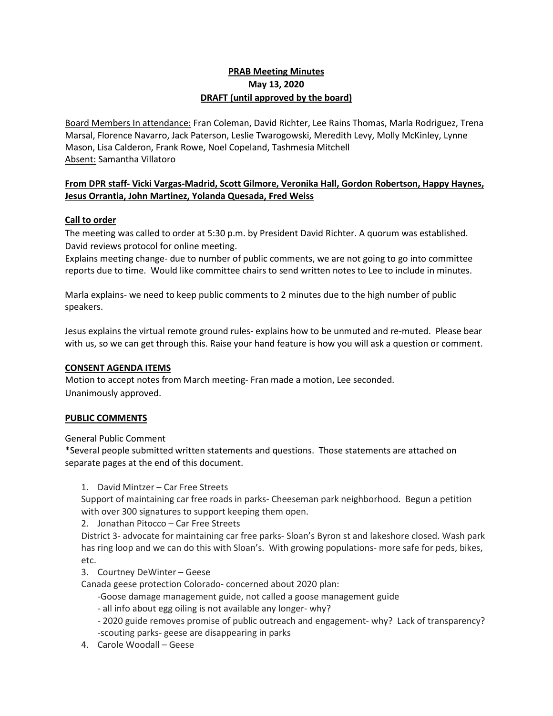# **PRAB Meeting Minutes May 13, 2020 DRAFT (until approved by the board)**

Board Members In attendance: Fran Coleman, David Richter, Lee Rains Thomas, Marla Rodriguez, Trena Marsal, Florence Navarro, Jack Paterson, Leslie Twarogowski, Meredith Levy, Molly McKinley, Lynne Mason, Lisa Calderon, Frank Rowe, Noel Copeland, Tashmesia Mitchell Absent: Samantha Villatoro

# **From DPR staff- Vicki Vargas-Madrid, Scott Gilmore, Veronika Hall, Gordon Robertson, Happy Haynes, Jesus Orrantia, John Martinez, Yolanda Quesada, Fred Weiss**

# **Call to order**

The meeting was called to order at 5:30 p.m. by President David Richter. A quorum was established. David reviews protocol for online meeting.

Explains meeting change- due to number of public comments, we are not going to go into committee reports due to time. Would like committee chairs to send written notes to Lee to include in minutes.

Marla explains- we need to keep public comments to 2 minutes due to the high number of public speakers.

Jesus explains the virtual remote ground rules- explains how to be unmuted and re-muted. Please bear with us, so we can get through this. Raise your hand feature is how you will ask a question or comment.

# **CONSENT AGENDA ITEMS**

Motion to accept notes from March meeting- Fran made a motion, Lee seconded. Unanimously approved.

# **PUBLIC COMMENTS**

General Public Comment

\*Several people submitted written statements and questions. Those statements are attached on separate pages at the end of this document.

1. David Mintzer – Car Free Streets

Support of maintaining car free roads in parks- Cheeseman park neighborhood. Begun a petition with over 300 signatures to support keeping them open.

2. Jonathan Pitocco – Car Free Streets

District 3- advocate for maintaining car free parks- Sloan's Byron st and lakeshore closed. Wash park has ring loop and we can do this with Sloan's. With growing populations- more safe for peds, bikes, etc.

3. Courtney DeWinter – Geese

Canada geese protection Colorado- concerned about 2020 plan:

-Goose damage management guide, not called a goose management guide

- all info about egg oiling is not available any longer- why?

- 2020 guide removes promise of public outreach and engagement- why? Lack of transparency? -scouting parks- geese are disappearing in parks
- 4. Carole Woodall Geese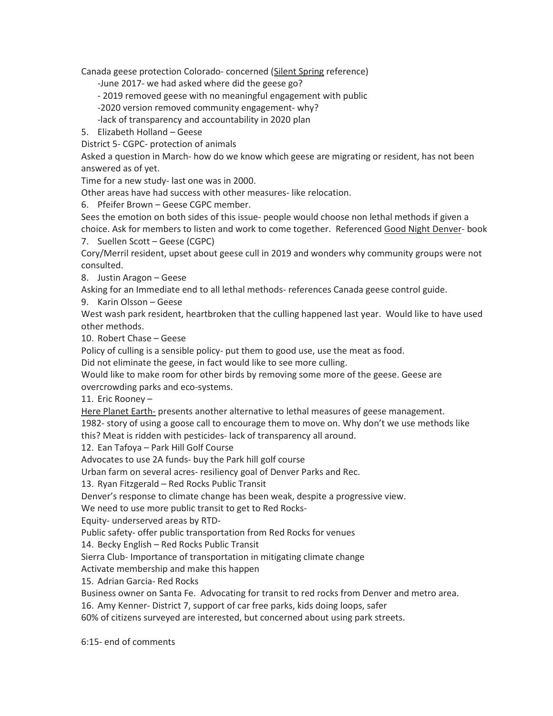Canada geese protection Colorado- concerned (Silent Spring reference)

- -June 2017- we had asked where did the geese go?
- 2019 removed geese with no meaningful engagement with public
- -2020 version removed community engagement- why?
- -lack of transparency and accountability in 2020 plan
- 5. Elizabeth Holland Geese

District 5- CGPC- protection of animals

Asked a question in March- how do we know which geese are migrating or resident, has not been answered as of yet.

Time for a new study- last one was in 2000.

Other areas have had success with other measures- like relocation.

6. Pfeifer Brown – Geese CGPC member.

Sees the emotion on both sides of this issue- people would choose non lethal methods if given a choice. Ask for members to listen and work to come together. Referenced Good Night Denver- book 7. Suellen Scott – Geese (CGPC)

Cory/Merril resident, upset about geese cull in 2019 and wonders why community groups were not consulted.

8. Justin Aragon – Geese

Asking for an Immediate end to all lethal methods- references Canada geese control guide.

9. Karin Olsson – Geese

West wash park resident, heartbroken that the culling happened last year. Would like to have used other methods.

10. Robert Chase – Geese

Policy of culling is a sensible policy- put them to good use, use the meat as food.

Did not eliminate the geese, in fact would like to see more culling.

Would like to make room for other birds by removing some more of the geese. Geese are overcrowding parks and eco-systems.

11. Eric Rooney –

Here Planet Earth- presents another alternative to lethal measures of geese management.

1982- story of using a goose call to encourage them to move on. Why don't we use methods like this? Meat is ridden with pesticides- lack of transparency all around.

12. Ean Tafoya – Park Hill Golf Course

Advocates to use 2A funds- buy the Park hill golf course

Urban farm on several acres- resiliency goal of Denver Parks and Rec.

13. Ryan Fitzgerald – Red Rocks Public Transit

Denver's response to climate change has been weak, despite a progressive view.

We need to use more public transit to get to Red Rocks-

Equity- underserved areas by RTD-

Public safety- offer public transportation from Red Rocks for venues

14. Becky English – Red Rocks Public Transit

Sierra Club- Importance of transportation in mitigating climate change

Activate membership and make this happen

15. Adrian Garcia- Red Rocks

Business owner on Santa Fe. Advocating for transit to red rocks from Denver and metro area.

16. Amy Kenner- District 7, support of car free parks, kids doing loops, safer

60% of citizens surveyed are interested, but concerned about using park streets.

6:15- end of comments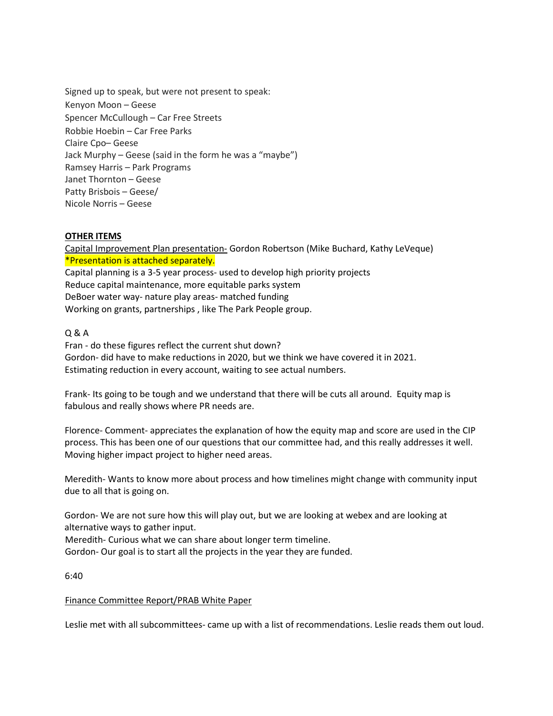Signed up to speak, but were not present to speak: Kenyon Moon – Geese Spencer McCullough – Car Free Streets Robbie Hoebin – Car Free Parks Claire Cpo– Geese Jack Murphy – Geese (said in the form he was a "maybe") Ramsey Harris – Park Programs Janet Thornton – Geese Patty Brisbois – Geese/ Nicole Norris – Geese

# **OTHER ITEMS**

Capital Improvement Plan presentation- Gordon Robertson (Mike Buchard, Kathy LeVeque) \*Presentation is attached separately. Capital planning is a 3-5 year process- used to develop high priority projects Reduce capital maintenance, more equitable parks system DeBoer water way- nature play areas- matched funding Working on grants, partnerships , like The Park People group.

# Q & A

Fran - do these figures reflect the current shut down? Gordon- did have to make reductions in 2020, but we think we have covered it in 2021. Estimating reduction in every account, waiting to see actual numbers.

Frank- Its going to be tough and we understand that there will be cuts all around. Equity map is fabulous and really shows where PR needs are.

Florence- Comment- appreciates the explanation of how the equity map and score are used in the CIP process. This has been one of our questions that our committee had, and this really addresses it well. Moving higher impact project to higher need areas.

Meredith- Wants to know more about process and how timelines might change with community input due to all that is going on.

Gordon- We are not sure how this will play out, but we are looking at webex and are looking at alternative ways to gather input.

Meredith- Curious what we can share about longer term timeline.

Gordon- Our goal is to start all the projects in the year they are funded.

6:40

### Finance Committee Report/PRAB White Paper

Leslie met with all subcommittees- came up with a list of recommendations. Leslie reads them out loud.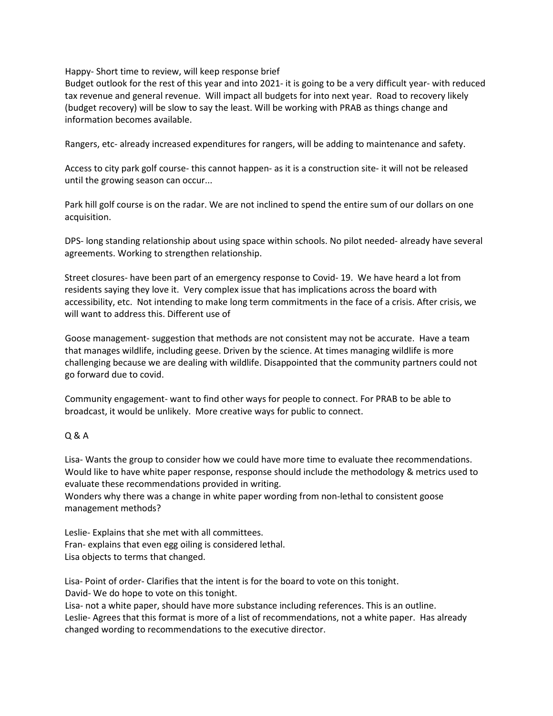Happy- Short time to review, will keep response brief

Budget outlook for the rest of this year and into 2021- it is going to be a very difficult year- with reduced tax revenue and general revenue. Will impact all budgets for into next year. Road to recovery likely (budget recovery) will be slow to say the least. Will be working with PRAB as things change and information becomes available.

Rangers, etc- already increased expenditures for rangers, will be adding to maintenance and safety.

Access to city park golf course- this cannot happen- as it is a construction site- it will not be released until the growing season can occur...

Park hill golf course is on the radar. We are not inclined to spend the entire sum of our dollars on one acquisition.

DPS- long standing relationship about using space within schools. No pilot needed- already have several agreements. Working to strengthen relationship.

Street closures- have been part of an emergency response to Covid- 19. We have heard a lot from residents saying they love it. Very complex issue that has implications across the board with accessibility, etc. Not intending to make long term commitments in the face of a crisis. After crisis, we will want to address this. Different use of

Goose management- suggestion that methods are not consistent may not be accurate. Have a team that manages wildlife, including geese. Driven by the science. At times managing wildlife is more challenging because we are dealing with wildlife. Disappointed that the community partners could not go forward due to covid.

Community engagement- want to find other ways for people to connect. For PRAB to be able to broadcast, it would be unlikely. More creative ways for public to connect.

# Q & A

Lisa- Wants the group to consider how we could have more time to evaluate thee recommendations. Would like to have white paper response, response should include the methodology & metrics used to evaluate these recommendations provided in writing.

Wonders why there was a change in white paper wording from non-lethal to consistent goose management methods?

Leslie- Explains that she met with all committees. Fran- explains that even egg oiling is considered lethal. Lisa objects to terms that changed.

Lisa- Point of order- Clarifies that the intent is for the board to vote on this tonight. David- We do hope to vote on this tonight.

Lisa- not a white paper, should have more substance including references. This is an outline. Leslie- Agrees that this format is more of a list of recommendations, not a white paper. Has already changed wording to recommendations to the executive director.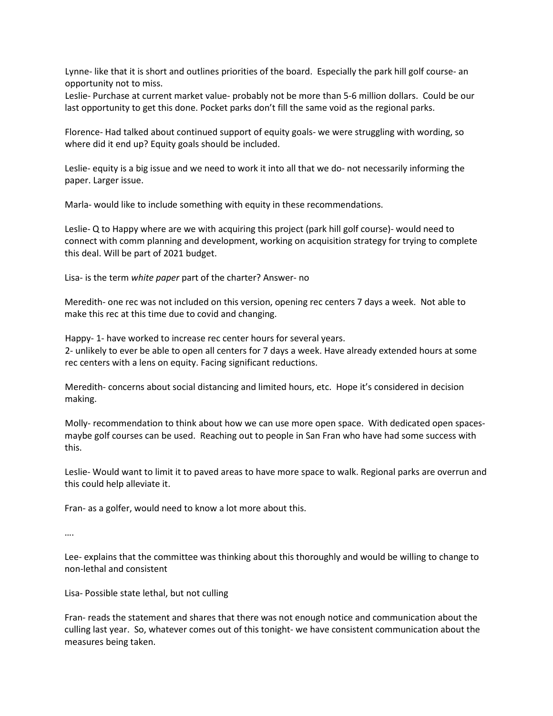Lynne- like that it is short and outlines priorities of the board. Especially the park hill golf course- an opportunity not to miss.

Leslie- Purchase at current market value- probably not be more than 5-6 million dollars. Could be our last opportunity to get this done. Pocket parks don't fill the same void as the regional parks.

Florence- Had talked about continued support of equity goals- we were struggling with wording, so where did it end up? Equity goals should be included.

Leslie- equity is a big issue and we need to work it into all that we do- not necessarily informing the paper. Larger issue.

Marla- would like to include something with equity in these recommendations.

Leslie- Q to Happy where are we with acquiring this project (park hill golf course)- would need to connect with comm planning and development, working on acquisition strategy for trying to complete this deal. Will be part of 2021 budget.

Lisa- is the term *white paper* part of the charter? Answer- no

Meredith- one rec was not included on this version, opening rec centers 7 days a week. Not able to make this rec at this time due to covid and changing.

Happy- 1- have worked to increase rec center hours for several years. 2- unlikely to ever be able to open all centers for 7 days a week. Have already extended hours at some rec centers with a lens on equity. Facing significant reductions.

Meredith- concerns about social distancing and limited hours, etc. Hope it's considered in decision making.

Molly- recommendation to think about how we can use more open space. With dedicated open spacesmaybe golf courses can be used. Reaching out to people in San Fran who have had some success with this.

Leslie- Would want to limit it to paved areas to have more space to walk. Regional parks are overrun and this could help alleviate it.

Fran- as a golfer, would need to know a lot more about this.

….

Lee- explains that the committee was thinking about this thoroughly and would be willing to change to non-lethal and consistent

Lisa- Possible state lethal, but not culling

Fran- reads the statement and shares that there was not enough notice and communication about the culling last year. So, whatever comes out of this tonight- we have consistent communication about the measures being taken.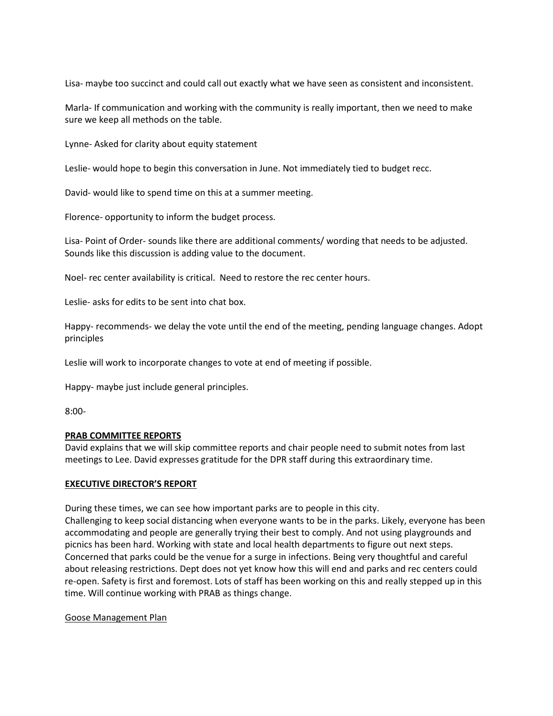Lisa- maybe too succinct and could call out exactly what we have seen as consistent and inconsistent.

Marla- If communication and working with the community is really important, then we need to make sure we keep all methods on the table.

Lynne- Asked for clarity about equity statement

Leslie- would hope to begin this conversation in June. Not immediately tied to budget recc.

David- would like to spend time on this at a summer meeting.

Florence- opportunity to inform the budget process.

Lisa- Point of Order- sounds like there are additional comments/ wording that needs to be adjusted. Sounds like this discussion is adding value to the document.

Noel- rec center availability is critical. Need to restore the rec center hours.

Leslie- asks for edits to be sent into chat box.

Happy- recommends- we delay the vote until the end of the meeting, pending language changes. Adopt principles

Leslie will work to incorporate changes to vote at end of meeting if possible.

Happy- maybe just include general principles.

8:00-

# **PRAB COMMITTEE REPORTS**

David explains that we will skip committee reports and chair people need to submit notes from last meetings to Lee. David expresses gratitude for the DPR staff during this extraordinary time.

### **EXECUTIVE DIRECTOR'S REPORT**

During these times, we can see how important parks are to people in this city.

Challenging to keep social distancing when everyone wants to be in the parks. Likely, everyone has been accommodating and people are generally trying their best to comply. And not using playgrounds and picnics has been hard. Working with state and local health departments to figure out next steps. Concerned that parks could be the venue for a surge in infections. Being very thoughtful and careful about releasing restrictions. Dept does not yet know how this will end and parks and rec centers could re-open. Safety is first and foremost. Lots of staff has been working on this and really stepped up in this time. Will continue working with PRAB as things change.

### Goose Management Plan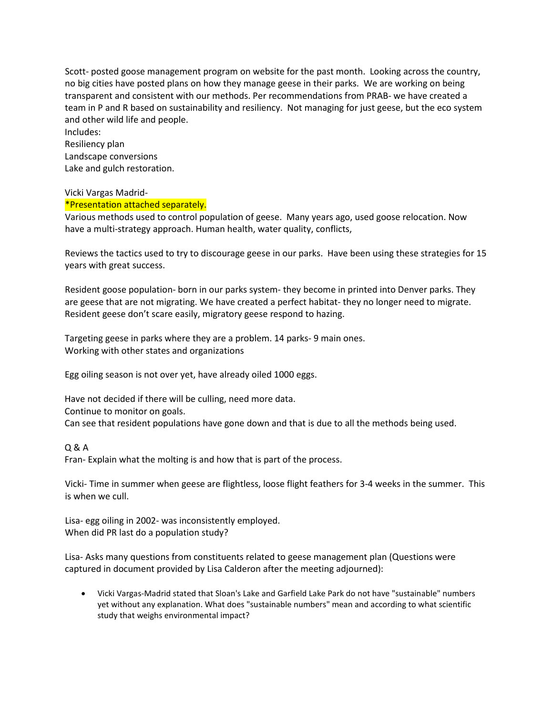Scott- posted goose management program on website for the past month. Looking across the country, no big cities have posted plans on how they manage geese in their parks. We are working on being transparent and consistent with our methods. Per recommendations from PRAB- we have created a team in P and R based on sustainability and resiliency. Not managing for just geese, but the eco system and other wild life and people.

Includes: Resiliency plan Landscape conversions Lake and gulch restoration.

# Vicki Vargas Madrid-

### \*Presentation attached separately.

Various methods used to control population of geese. Many years ago, used goose relocation. Now have a multi-strategy approach. Human health, water quality, conflicts,

Reviews the tactics used to try to discourage geese in our parks. Have been using these strategies for 15 years with great success.

Resident goose population- born in our parks system- they become in printed into Denver parks. They are geese that are not migrating. We have created a perfect habitat- they no longer need to migrate. Resident geese don't scare easily, migratory geese respond to hazing.

Targeting geese in parks where they are a problem. 14 parks- 9 main ones. Working with other states and organizations

Egg oiling season is not over yet, have already oiled 1000 eggs.

Have not decided if there will be culling, need more data. Continue to monitor on goals. Can see that resident populations have gone down and that is due to all the methods being used.

Q & A

Fran- Explain what the molting is and how that is part of the process.

Vicki- Time in summer when geese are flightless, loose flight feathers for 3-4 weeks in the summer. This is when we cull.

Lisa- egg oiling in 2002- was inconsistently employed. When did PR last do a population study?

Lisa- Asks many questions from constituents related to geese management plan (Questions were captured in document provided by Lisa Calderon after the meeting adjourned):

• Vicki Vargas-Madrid stated that Sloan's Lake and Garfield Lake Park do not have "sustainable" numbers yet without any explanation. What does "sustainable numbers" mean and according to what scientific study that weighs environmental impact?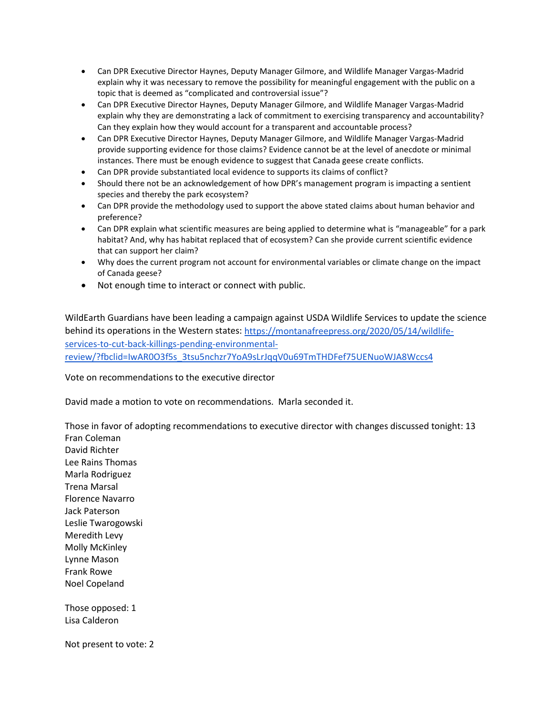- Can DPR Executive Director Haynes, Deputy Manager Gilmore, and Wildlife Manager Vargas-Madrid explain why it was necessary to remove the possibility for meaningful engagement with the public on a topic that is deemed as "complicated and controversial issue"?
- Can DPR Executive Director Haynes, Deputy Manager Gilmore, and Wildlife Manager Vargas-Madrid explain why they are demonstrating a lack of commitment to exercising transparency and accountability? Can they explain how they would account for a transparent and accountable process?
- Can DPR Executive Director Haynes, Deputy Manager Gilmore, and Wildlife Manager Vargas-Madrid provide supporting evidence for those claims? Evidence cannot be at the level of anecdote or minimal instances. There must be enough evidence to suggest that Canada geese create conflicts.
- Can DPR provide substantiated local evidence to supports its claims of conflict?
- Should there not be an acknowledgement of how DPR's management program is impacting a sentient species and thereby the park ecosystem?
- Can DPR provide the methodology used to support the above stated claims about human behavior and preference?
- Can DPR explain what scientific measures are being applied to determine what is "manageable" for a park habitat? And, why has habitat replaced that of ecosystem? Can she provide current scientific evidence that can support her claim?
- Why does the current program not account for environmental variables or climate change on the impact of Canada geese?
- Not enough time to interact or connect with public.

WildEarth Guardians have been leading a campaign against USDA Wildlife Services to update the science behind its operations in the Western states: [https://montanafreepress.org/2020/05/14/wildlife](https://montanafreepress.org/2020/05/14/wildlife-services-to-cut-back-killings-pending-environmental-review/?fbclid=IwAR0O3f5s_3tsu5nchzr7YoA9sLrJqqV0u69TmTHDFef75UENuoWJA8Wccs4)[services-to-cut-back-killings-pending-environmental](https://montanafreepress.org/2020/05/14/wildlife-services-to-cut-back-killings-pending-environmental-review/?fbclid=IwAR0O3f5s_3tsu5nchzr7YoA9sLrJqqV0u69TmTHDFef75UENuoWJA8Wccs4)[review/?fbclid=IwAR0O3f5s\\_3tsu5nchzr7YoA9sLrJqqV0u69TmTHDFef75UENuoWJA8Wccs4](https://montanafreepress.org/2020/05/14/wildlife-services-to-cut-back-killings-pending-environmental-review/?fbclid=IwAR0O3f5s_3tsu5nchzr7YoA9sLrJqqV0u69TmTHDFef75UENuoWJA8Wccs4)

Vote on recommendations to the executive director

David made a motion to vote on recommendations. Marla seconded it.

Those in favor of adopting recommendations to executive director with changes discussed tonight: 13 Fran Coleman David Richter Lee Rains Thomas Marla Rodriguez Trena Marsal Florence Navarro Jack Paterson Leslie Twarogowski Meredith Levy Molly McKinley Lynne Mason Frank Rowe Noel Copeland

Those opposed: 1 Lisa Calderon

Not present to vote: 2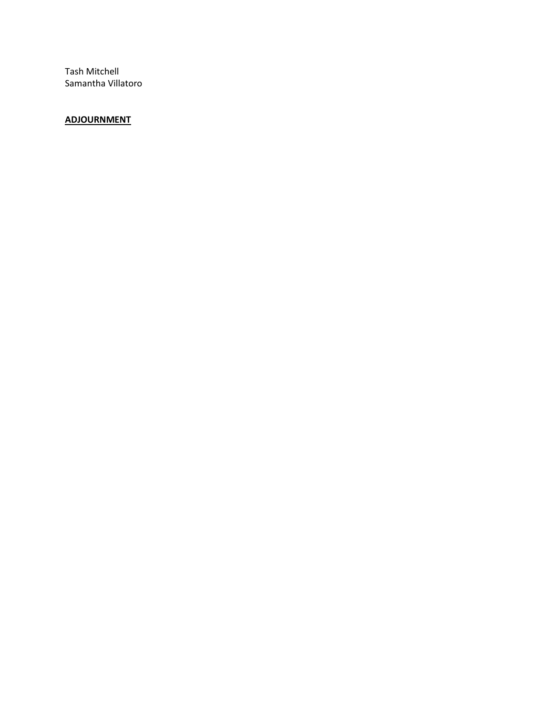Tash Mitchell Samantha Villatoro

# **ADJOURNMENT**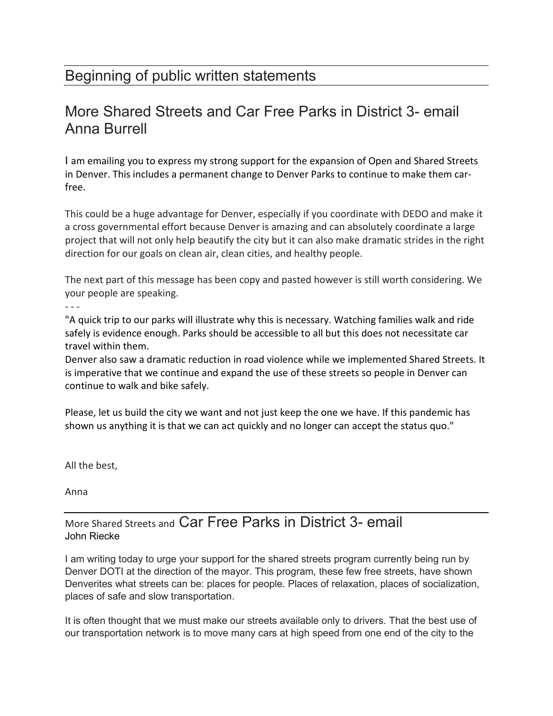# Beginning of public written statements

# More Shared Streets and Car Free Parks in District 3- email Anna Burrell

I am emailing you to express my strong support for the expansion of Open and Shared Streets in Denver. This includes a permanent change to Denver Parks to continue to make them carfree.

This could be a huge advantage for Denver, especially if you coordinate with DEDO and make it a cross governmental effort because Denver is amazing and can absolutely coordinate a large project that will not only help beautify the city but it can also make dramatic strides in the right direction for our goals on clean air, clean cities, and healthy people.

The next part of this message has been copy and pasted however is still worth considering. We your people are speaking.

- - -

"A quick trip to our parks will illustrate why this is necessary. Watching families walk and ride safely is evidence enough. Parks should be accessible to all but this does not necessitate car travel within them.

Denver also saw a dramatic reduction in road violence while we implemented Shared Streets. It is imperative that we continue and expand the use of these streets so people in Denver can continue to walk and bike safely.

Please, let us build the city we want and not just keep the one we have. If this pandemic has shown us anything it is that we can act quickly and no longer can accept the status quo."

All the best,

Anna

# More Shared Streets and Car Free Parks in District 3- email John Riecke

I am writing today to urge your support for the shared streets program currently being run by Denver DOTI at the direction of the mayor. This program, these few free streets, have shown Denverites what streets can be: places for people. Places of relaxation, places of socialization, places of safe and slow transportation.

It is often thought that we must make our streets available only to drivers. That the best use of our transportation network is to move many cars at high speed from one end of the city to the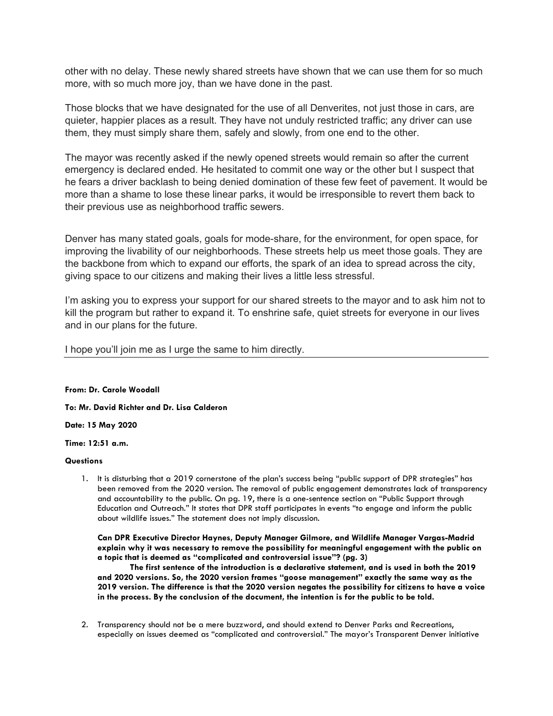other with no delay. These newly shared streets have shown that we can use them for so much more, with so much more joy, than we have done in the past.

Those blocks that we have designated for the use of all Denverites, not just those in cars, are quieter, happier places as a result. They have not unduly restricted traffic; any driver can use them, they must simply share them, safely and slowly, from one end to the other.

The mayor was recently asked if the newly opened streets would remain so after the current emergency is declared ended. He hesitated to commit one way or the other but I suspect that he fears a driver backlash to being denied domination of these few feet of pavement. It would be more than a shame to lose these linear parks, it would be irresponsible to revert them back to their previous use as neighborhood traffic sewers.

Denver has many stated goals, goals for mode-share, for the environment, for open space, for improving the livability of our neighborhoods. These streets help us meet those goals. They are the backbone from which to expand our efforts, the spark of an idea to spread across the city, giving space to our citizens and making their lives a little less stressful.

I'm asking you to express your support for our shared streets to the mayor and to ask him not to kill the program but rather to expand it. To enshrine safe, quiet streets for everyone in our lives and in our plans for the future.

I hope you'll join me as I urge the same to him directly.

**From: Dr. Carole Woodall**

**To: Mr. David Richter and Dr. Lisa Calderon**

**Date: 15 May 2020**

**Time: 12:51 a.m.**

#### **Questions**

1. It is disturbing that a 2019 cornerstone of the plan's success being "public support of DPR strategies" has been removed from the 2020 version. The removal of public engagement demonstrates lack of transparency and accountability to the public. On pg. 19, there is a one-sentence section on "Public Support through Education and Outreach." It states that DPR staff participates in events "to engage and inform the public about wildlife issues." The statement does not imply discussion.

**Can DPR Executive Director Haynes, Deputy Manager Gilmore, and Wildlife Manager Vargas-Madrid explain why it was necessary to remove the possibility for meaningful engagement with the public on a topic that is deemed as "complicated and controversial issue"? (pg. 3)** 

**The first sentence of the introduction is a declarative statement, and is used in both the 2019 and 2020 versions. So, the 2020 version frames "goose management" exactly the same way as the 2019 version. The difference is that the 2020 version negates the possibility for citizens to have a voice in the process. By the conclusion of the document, the intention is for the public to be told.** 

2. Transparency should not be a mere buzzword, and should extend to Denver Parks and Recreations, especially on issues deemed as "complicated and controversial." The mayor's Transparent Denver initiative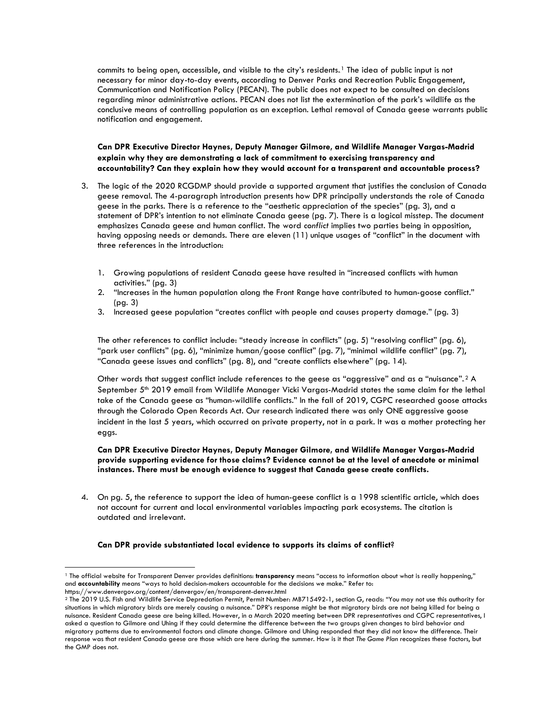commits to being open, accessible, and visible to the city's residents.<sup>1</sup> The idea of public input is not necessary for minor day-to-day events, according to Denver Parks and Recreation Public Engagement, Communication and Notification Policy (PECAN). The public does not expect to be consulted on decisions regarding minor administrative actions. PECAN does not list the extermination of the park's wildlife as the conclusive means of controlling population as an exception. Lethal removal of Canada geese warrants public notification and engagement.

**Can DPR Executive Director Haynes, Deputy Manager Gilmore, and Wildlife Manager Vargas-Madrid explain why they are demonstrating a lack of commitment to exercising transparency and accountability? Can they explain how they would account for a transparent and accountable process?**

- 3. The logic of the 2020 RCGDMP should provide a supported argument that justifies the conclusion of Canada geese removal. The 4-paragraph introduction presents how DPR principally understands the role of Canada geese in the parks. There is a reference to the "aesthetic appreciation of the species" (pg. 3), and a statement of DPR's intention to not eliminate Canada geese (pg. 7). There is a logical misstep. The document emphasizes Canada geese and human conflict. The word *conflict* implies two parties being in opposition, having opposing needs or demands. There are eleven (11) unique usages of "conflict" in the document with three references in the introduction:
	- 1. Growing populations of resident Canada geese have resulted in "increased conflicts with human activities." (pg. 3)
	- 2. "Increases in the human population along the Front Range have contributed to human-goose conflict." (pg. 3)
	- 3. Increased geese population "creates conflict with people and causes property damage." (pg. 3)

The other references to conflict include: "steady increase in conflicts" (pg. 5) "resolving conflict" (pg. 6), "park user conflicts" (pg. 6), "minimize human/goose conflict" (pg. 7), "minimal wildlife conflict" (pg. 7), "Canada geese issues and conflicts" (pg. 8), and "create conflicts elsewhere" (pg. 14).

Other words that suggest conflict include references to the geese as "aggressive" and as a "nuisance".<sup>2</sup> A September 5<sup>th</sup> 2019 email from Wildlife Manager Vicki Vargas-Madrid states the same claim for the lethal take of the Canada geese as "human-wildlife conflicts." In the fall of 2019, CGPC researched goose attacks through the Colorado Open Records Act. Our research indicated there was only ONE aggressive goose incident in the last 5 years, which occurred on private property, not in a park. It was a mother protecting her eggs.

**Can DPR Executive Director Haynes, Deputy Manager Gilmore, and Wildlife Manager Vargas-Madrid provide supporting evidence for those claims? Evidence cannot be at the level of anecdote or minimal instances. There must be enough evidence to suggest that Canada geese create conflicts.** 

4. On pg. 5, the reference to support the idea of human-geese conflict is a 1998 scientific article, which does not account for current and local environmental variables impacting park ecosystems. The citation is outdated and irrelevant.

#### **Can DPR provide substantiated local evidence to supports its claims of conflict**?

 $\overline{\phantom{a}}$ 

<sup>&</sup>lt;sup>1</sup> The official website for Transparent Denver provides definitions: transparency means "access to information about what is really happening," and **accountability** means "ways to hold decision-makers accountable for the decisions we make." Refer to: https://www.denvergov.org/content/denvergov/en/transparent-denver.html

<sup>2</sup> The 2019 U.S. Fish and Wildlife Service Depredation Permit, Permit Number: MB715492-1, section G, reads: "You may not use this authority for situations in which migratory birds are merely causing a nuisance." DPR's response might be that migratory birds are not being killed for being a nuisance. Resident Canada geese are being killed. However, in a March 2020 meeting between DPR representatives and CGPC representatives, I asked a question to Gilmore and Uhing if they could determine the difference between the two groups given changes to bird behavior and migratory patterns due to environmental factors and climate change. Gilmore and Uhing responded that they did not know the difference. Their response was that resident Canada geese are those which are here during the summer. How is it that *The Game Plan* recognizes these factors, but the GMP does not.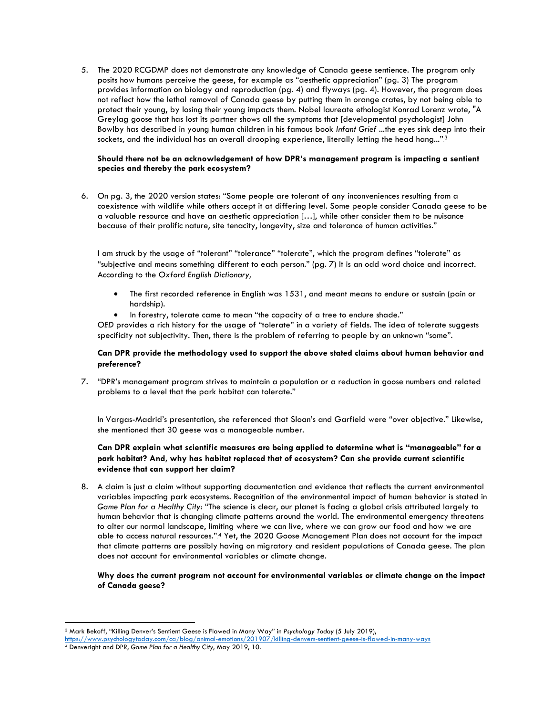5. The 2020 RCGDMP does not demonstrate any knowledge of Canada geese sentience. The program only posits how humans perceive the geese, for example as "aesthetic appreciation" (pg. 3) The program provides information on biology and reproduction (pg. 4) and flyways (pg. 4). However, the program does not reflect how the lethal removal of Canada geese by putting them in orange crates, by not being able to protect their young, by losing their young impacts them. Nobel laureate ethologist Konrad Lorenz wrote, "A Greylag goose that has lost its partner shows all the symptoms that [developmental psychologist] John Bowlby has described in young human children in his famous book *Infant Grief* ...the eyes sink deep into their sockets, and the individual has an overall drooping experience, literally letting the head hang..." $^{\rm 3}$ 

#### **Should there not be an acknowledgement of how DPR's management program is impacting a sentient species and thereby the park ecosystem?**

6. On pg. 3, the 2020 version states: "Some people are tolerant of any inconveniences resulting from a coexistence with wildlife while others accept it at differing level. Some people consider Canada geese to be a valuable resource and have an aesthetic appreciation […], while other consider them to be nuisance because of their prolific nature, site tenacity, longevity, size and tolerance of human activities."

I am struck by the usage of "tolerant" "tolerance" "tolerate", which the program defines "tolerate" as "subjective and means something different to each person." (pg. 7) It is an odd word choice and incorrect. According to the *Oxford English Dictionary,* 

- The first recorded reference in English was 1531, and meant means to endure or sustain (pain or hardship).
- In forestry, tolerate came to mean "the capacity of a tree to endure shade."

*OED* provides a rich history for the usage of "tolerate" in a variety of fields. The idea of tolerate suggests specificity not subjectivity. Then, there is the problem of referring to people by an unknown "some".

#### **Can DPR provide the methodology used to support the above stated claims about human behavior and preference?**

7. "DPR's management program strives to maintain a population or a reduction in goose numbers and related problems to a level that the park habitat can tolerate."

In Vargas-Madrid's presentation, she referenced that Sloan's and Garfield were "over objective." Likewise, she mentioned that 30 geese was a manageable number.

### **Can DPR explain what scientific measures are being applied to determine what is "manageable" for a park habitat? And, why has habitat replaced that of ecosystem? Can she provide current scientific evidence that can support her claim?**

8. A claim is just a claim without supporting documentation and evidence that reflects the current environmental variables impacting park ecosystems. Recognition of the environmental impact of human behavior is stated in *Game Plan for a Healthy City*: "The science is clear, our planet is facing a global crisis attributed largely to human behavior that is changing climate patterns around the world. The environmental emergency threatens to alter our normal landscape, limiting where we can live, where we can grow our food and how we are able to access natural resources.".4 Yet, the 2020 Goose Management Plan does not account for the impact that climate patterns are possibly having on migratory and resident populations of Canada geese. The plan does not account for environmental variables or climate change.

#### **Why does the current program not account for environmental variables or climate change on the impact of Canada geese?**

l

<sup>3</sup> Mark Bekoff, "Killing Denver's Sentient Geese is Flawed in Many Way" in *Psychology Today* (5 July 2019),

<https://www.psychologytoday.com/ca/blog/animal-emotions/201907/killing-denvers-sentient-geese-is-flawed-in-many-ways>

<sup>4</sup> Denveright and DPR, *Game Plan for a Healthy City*, May 2019, 10.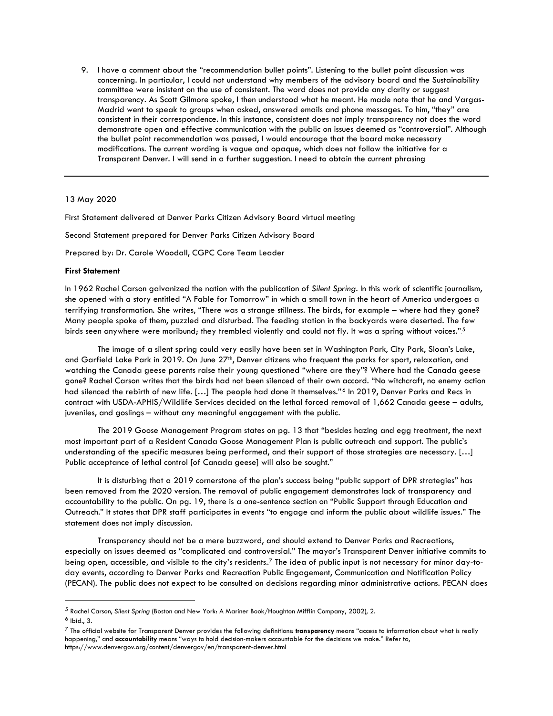9. I have a comment about the "recommendation bullet points". Listening to the bullet point discussion was concerning. In particular, I could not understand why members of the advisory board and the Sustainability committee were insistent on the use of consistent. The word does not provide any clarity or suggest transparency. As Scott Gilmore spoke, I then understood what he meant. He made note that he and Vargas-Madrid went to speak to groups when asked, answered emails and phone messages. To him, "they" are consistent in their correspondence. In this instance, consistent does not imply transparency not does the word demonstrate open and effective communication with the public on issues deemed as "controversial". Although the bullet point recommendation was passed, I would encourage that the board make necessary modifications. The current wording is vague and opaque, which does not follow the initiative for a Transparent Denver. I will send in a further suggestion. I need to obtain the current phrasing

13 May 2020

First Statement delivered at Denver Parks Citizen Advisory Board virtual meeting

Second Statement prepared for Denver Parks Citizen Advisory Board

Prepared by: Dr. Carole Woodall, CGPC Core Team Leader

#### **First Statement**

In 1962 Rachel Carson galvanized the nation with the publication of *Silent Spring*. In this work of scientific journalism, she opened with a story entitled "A Fable for Tomorrow" in which a small town in the heart of America undergoes a terrifying transformation. She writes, "There was a strange stillness. The birds, for example – where had they gone? Many people spoke of them, puzzled and disturbed. The feeding station in the backyards were deserted. The few birds seen anywhere were moribund; they trembled violently and could not fly. It was a spring without voices."5

The image of a silent spring could very easily have been set in Washington Park, City Park, Sloan's Lake, and Garfield Lake Park in 2019. On June 27<sup>th</sup>, Denver citizens who frequent the parks for sport, relaxation, and watching the Canada geese parents raise their young questioned "where are they"? Where had the Canada geese gone? Rachel Carson writes that the birds had not been silenced of their own accord. "No witchcraft, no enemy action had silenced the rebirth of new life. […] The people had done it themselves."6 In 2019, Denver Parks and Recs in contract with USDA-APHIS/Wildlife Services decided on the lethal forced removal of 1,662 Canada geese – adults, juveniles, and goslings – without any meaningful engagement with the public.

The 2019 Goose Management Program states on pg. 13 that "besides hazing and egg treatment, the next most important part of a Resident Canada Goose Management Plan is public outreach and support. The public's understanding of the specific measures being performed, and their support of those strategies are necessary. […] Public acceptance of lethal control [of Canada geese] will also be sought."

It is disturbing that a 2019 cornerstone of the plan's success being "public support of DPR strategies" has been removed from the 2020 version. The removal of public engagement demonstrates lack of transparency and accountability to the public. On pg. 19, there is a one-sentence section on "Public Support through Education and Outreach." It states that DPR staff participates in events "to engage and inform the public about wildlife issues." The statement does not imply discussion.

Transparency should not be a mere buzzword, and should extend to Denver Parks and Recreations, especially on issues deemed as "complicated and controversial." The mayor's Transparent Denver initiative commits to being open, accessible, and visible to the city's residents.<sup>7</sup> The idea of public input is not necessary for minor day-today events, according to Denver Parks and Recreation Public Engagement, Communication and Notification Policy (PECAN). The public does not expect to be consulted on decisions regarding minor administrative actions. PECAN does

l

<sup>5</sup> Rachel Carson, *Silent Spring* (Boston and New York: A Mariner Book/Houghton Mifflin Company, 2002), 2.

 $6$  Ibid., 3.

<sup>7</sup> The official website for Transparent Denver provides the following definitions: **transparency** means "access to information about what is really happening," and **accountability** means "ways to hold decision-makers accountable for the decisions we make." Refer to, https://www.denvergov.org/content/denvergov/en/transparent-denver.html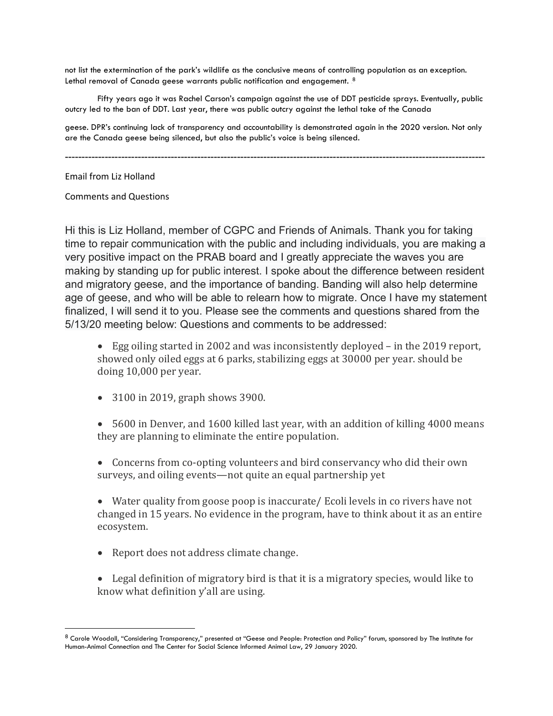not list the extermination of the park's wildlife as the conclusive means of controlling population as an exception. Lethal removal of Canada geese warrants public notification and engagement.  $^{\text{8}}$ 

Fifty years ago it was Rachel Carson's campaign against the use of DDT pesticide sprays. Eventually, public outcry led to the ban of DDT. Last year, there was public outcry against the lethal take of the Canada

geese. DPR's continuing lack of transparency and accountability is demonstrated again in the 2020 version. Not only are the Canada geese being silenced, but also the public's voice is being silenced.

-------------------------------------------------------------------------------------------------------------------------------

Email from Liz Holland

 $\overline{\phantom{a}}$ 

Comments and Questions

Hi this is Liz Holland, member of CGPC and Friends of Animals. Thank you for taking time to repair communication with the public and including individuals, you are making a very positive impact on the PRAB board and I greatly appreciate the waves you are making by standing up for public interest. I spoke about the difference between resident and migratory geese, and the importance of banding. Banding will also help determine age of geese, and who will be able to relearn how to migrate. Once I have my statement finalized, I will send it to you. Please see the comments and questions shared from the 5/13/20 meeting below: Questions and comments to be addressed:

• Egg oiling started in 2002 and was inconsistently deployed – in the 2019 report, showed only oiled eggs at 6 parks, stabilizing eggs at 30000 per year. should be doing 10,000 per year.

- 3100 in 2019, graph shows 3900.
- 5600 in Denver, and 1600 killed last year, with an addition of killing 4000 means they are planning to eliminate the entire population.
- Concerns from co-opting volunteers and bird conservancy who did their own surveys, and oiling events—not quite an equal partnership yet

• Water quality from goose poop is inaccurate/ Ecoli levels in co rivers have not changed in 15 years. No evidence in the program, have to think about it as an entire ecosystem.

- Report does not address climate change.
- Legal definition of migratory bird is that it is a migratory species, would like to know what definition y'all are using.

<sup>8</sup> Carole Woodall, "Considering Transparency," presented at "Geese and People: Protection and Policy" forum, sponsored by The Institute for Human-Animal Connection and The Center for Social Science Informed Animal Law, 29 January 2020.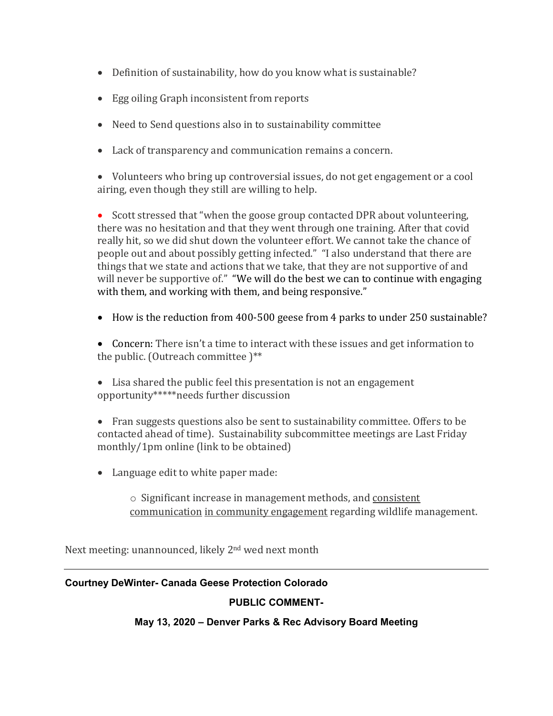- Definition of sustainability, how do you know what is sustainable?
- Egg oiling Graph inconsistent from reports
- Need to Send questions also in to sustainability committee
- Lack of transparency and communication remains a concern.

• Volunteers who bring up controversial issues, do not get engagement or a cool airing, even though they still are willing to help.

• Scott stressed that "when the goose group contacted DPR about volunteering, there was no hesitation and that they went through one training. After that covid really hit, so we did shut down the volunteer effort. We cannot take the chance of people out and about possibly getting infected." "I also understand that there are things that we state and actions that we take, that they are not supportive of and will never be supportive of." "We will do the best we can to continue with engaging with them, and working with them, and being responsive."

- How is the reduction from 400-500 geese from 4 parks to under 250 sustainable?
- Concern: There isn't a time to interact with these issues and get information to the public. (Outreach committee )\*\*
- Lisa shared the public feel this presentation is not an engagement opportunity\*\*\*\*\*needs further discussion
- Fran suggests questions also be sent to sustainability committee. Offers to be contacted ahead of time). Sustainability subcommittee meetings are Last Friday monthly/1pm online (link to be obtained)
- Language edit to white paper made:

o Significant increase in management methods, and consistent communication in community engagement regarding wildlife management.

Next meeting: unannounced, likely 2nd wed next month

# **Courtney DeWinter- Canada Geese Protection Colorado**

# **PUBLIC COMMENT-**

# **May 13, 2020 – Denver Parks & Rec Advisory Board Meeting**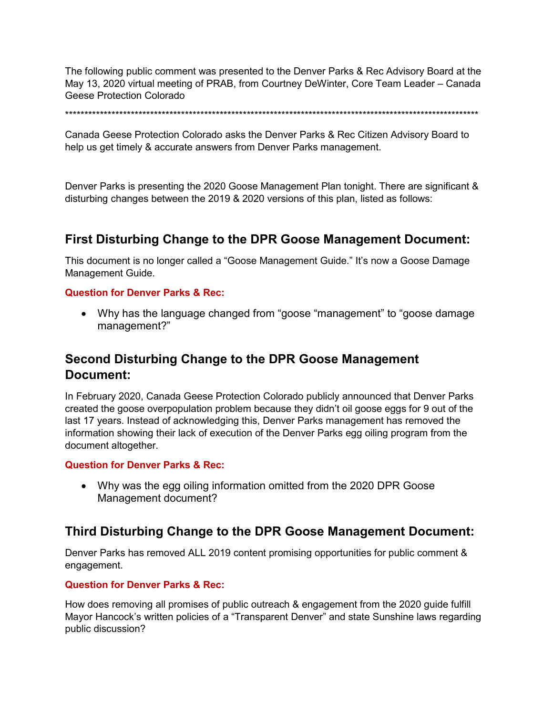The following public comment was presented to the Denver Parks & Rec Advisory Board at the May 13, 2020 virtual meeting of PRAB, from Courtney DeWinter, Core Team Leader – Canada Geese Protection Colorado

\*\*\*\*\*\*\*\*\*\*\*\*\*\*\*\*\*\*\*\*\*\*\*\*\*\*\*\*\*\*\*\*\*\*\*\*\*\*\*\*\*\*\*\*\*\*\*\*\*\*\*\*\*\*\*\*\*\*\*\*\*\*\*\*\*\*\*\*\*\*\*\*\*\*\*\*\*\*\*\*\*\*\*\*\*\*\*\*\*\*\*\*\*\*\*\*\*\*\*\*\*\*\*\*\*\*\*

Canada Geese Protection Colorado asks the Denver Parks & Rec Citizen Advisory Board to help us get timely & accurate answers from Denver Parks management.

Denver Parks is presenting the 2020 Goose Management Plan tonight. There are significant & disturbing changes between the 2019 & 2020 versions of this plan, listed as follows:

# **First Disturbing Change to the DPR Goose Management Document:**

This document is no longer called a "Goose Management Guide." It's now a Goose Damage Management Guide.

# **Question for Denver Parks & Rec:**

• Why has the language changed from "goose "management" to "goose damage management?"

# **Second Disturbing Change to the DPR Goose Management Document:**

In February 2020, Canada Geese Protection Colorado publicly announced that Denver Parks created the goose overpopulation problem because they didn't oil goose eggs for 9 out of the last 17 years. Instead of acknowledging this, Denver Parks management has removed the information showing their lack of execution of the Denver Parks egg oiling program from the document altogether.

# **Question for Denver Parks & Rec:**

• Why was the egg oiling information omitted from the 2020 DPR Goose Management document?

# **Third Disturbing Change to the DPR Goose Management Document:**

Denver Parks has removed ALL 2019 content promising opportunities for public comment & engagement.

# **Question for Denver Parks & Rec:**

How does removing all promises of public outreach & engagement from the 2020 guide fulfill Mayor Hancock's written policies of a "Transparent Denver" and state Sunshine laws regarding public discussion?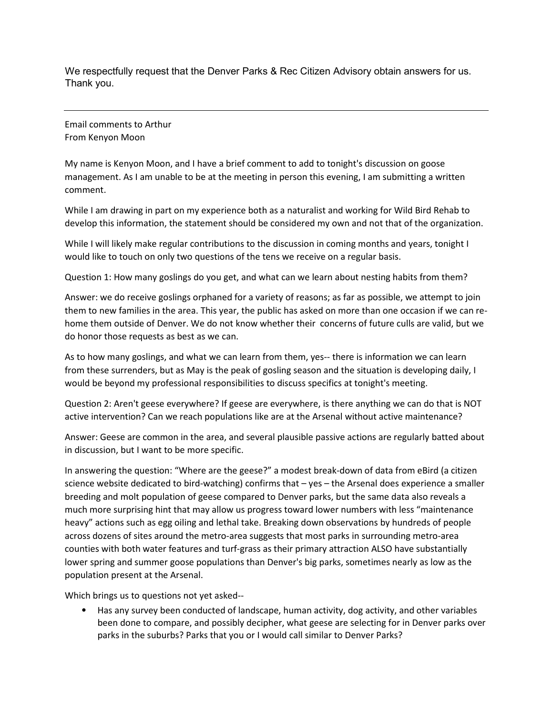We respectfully request that the Denver Parks & Rec Citizen Advisory obtain answers for us. Thank you.

Email comments to Arthur From Kenyon Moon

My name is Kenyon Moon, and I have a brief comment to add to tonight's discussion on goose management. As I am unable to be at the meeting in person this evening, I am submitting a written comment.

While I am drawing in part on my experience both as a naturalist and working for Wild Bird Rehab to develop this information, the statement should be considered my own and not that of the organization.

While I will likely make regular contributions to the discussion in coming months and years, tonight I would like to touch on only two questions of the tens we receive on a regular basis.

Question 1: How many goslings do you get, and what can we learn about nesting habits from them?

Answer: we do receive goslings orphaned for a variety of reasons; as far as possible, we attempt to join them to new families in the area. This year, the public has asked on more than one occasion if we can rehome them outside of Denver. We do not know whether their concerns of future culls are valid, but we do honor those requests as best as we can.

As to how many goslings, and what we can learn from them, yes-- there is information we can learn from these surrenders, but as May is the peak of gosling season and the situation is developing daily, I would be beyond my professional responsibilities to discuss specifics at tonight's meeting.

Question 2: Aren't geese everywhere? If geese are everywhere, is there anything we can do that is NOT active intervention? Can we reach populations like are at the Arsenal without active maintenance?

Answer: Geese are common in the area, and several plausible passive actions are regularly batted about in discussion, but I want to be more specific.

In answering the question: "Where are the geese?" a modest break-down of data from eBird (a citizen science website dedicated to bird-watching) confirms that – yes – the Arsenal does experience a smaller breeding and molt population of geese compared to Denver parks, but the same data also reveals a much more surprising hint that may allow us progress toward lower numbers with less "maintenance heavy" actions such as egg oiling and lethal take. Breaking down observations by hundreds of people across dozens of sites around the metro-area suggests that most parks in surrounding metro-area counties with both water features and turf-grass as their primary attraction ALSO have substantially lower spring and summer goose populations than Denver's big parks, sometimes nearly as low as the population present at the Arsenal.

Which brings us to questions not yet asked--

• Has any survey been conducted of landscape, human activity, dog activity, and other variables been done to compare, and possibly decipher, what geese are selecting for in Denver parks over parks in the suburbs? Parks that you or I would call similar to Denver Parks?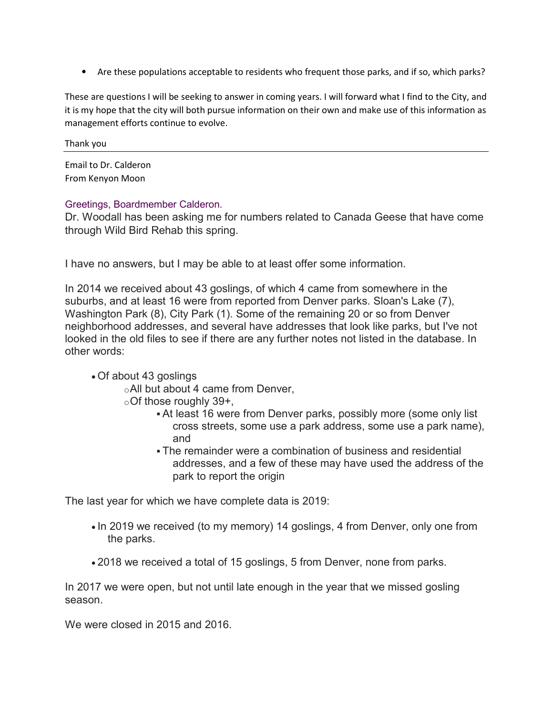• Are these populations acceptable to residents who frequent those parks, and if so, which parks?

These are questions I will be seeking to answer in coming years. I will forward what I find to the City, and it is my hope that the city will both pursue information on their own and make use of this information as management efforts continue to evolve.

Thank you

Email to Dr. Calderon From Kenyon Moon

# Greetings, Boardmember Calderon.

Dr. Woodall has been asking me for numbers related to Canada Geese that have come through Wild Bird Rehab this spring.

I have no answers, but I may be able to at least offer some information.

In 2014 we received about 43 goslings, of which 4 came from somewhere in the suburbs, and at least 16 were from reported from Denver parks. Sloan's Lake (7), Washington Park (8), City Park (1). Some of the remaining 20 or so from Denver neighborhood addresses, and several have addresses that look like parks, but I've not looked in the old files to see if there are any further notes not listed in the database. In other words:

# • Of about 43 goslings

oAll but about 4 came from Denver,

- $\circ$ Of those roughly 39+,
	- At least 16 were from Denver parks, possibly more (some only list cross streets, some use a park address, some use a park name), and
	- The remainder were a combination of business and residential addresses, and a few of these may have used the address of the park to report the origin

The last year for which we have complete data is 2019:

- In 2019 we received (to my memory) 14 goslings, 4 from Denver, only one from the parks.
- 2018 we received a total of 15 goslings, 5 from Denver, none from parks.

In 2017 we were open, but not until late enough in the year that we missed gosling season.

We were closed in 2015 and 2016.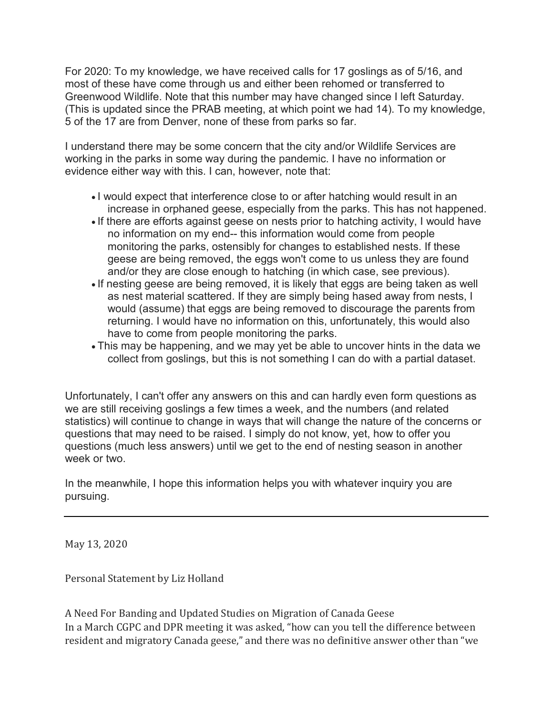For 2020: To my knowledge, we have received calls for 17 goslings as of 5/16, and most of these have come through us and either been rehomed or transferred to Greenwood Wildlife. Note that this number may have changed since I left Saturday. (This is updated since the PRAB meeting, at which point we had 14). To my knowledge, 5 of the 17 are from Denver, none of these from parks so far.

I understand there may be some concern that the city and/or Wildlife Services are working in the parks in some way during the pandemic. I have no information or evidence either way with this. I can, however, note that:

- I would expect that interference close to or after hatching would result in an increase in orphaned geese, especially from the parks. This has not happened.
- If there are efforts against geese on nests prior to hatching activity, I would have no information on my end-- this information would come from people monitoring the parks, ostensibly for changes to established nests. If these geese are being removed, the eggs won't come to us unless they are found and/or they are close enough to hatching (in which case, see previous).
- If nesting geese are being removed, it is likely that eggs are being taken as well as nest material scattered. If they are simply being hased away from nests, I would (assume) that eggs are being removed to discourage the parents from returning. I would have no information on this, unfortunately, this would also have to come from people monitoring the parks.
- This may be happening, and we may yet be able to uncover hints in the data we collect from goslings, but this is not something I can do with a partial dataset.

Unfortunately, I can't offer any answers on this and can hardly even form questions as we are still receiving goslings a few times a week, and the numbers (and related statistics) will continue to change in ways that will change the nature of the concerns or questions that may need to be raised. I simply do not know, yet, how to offer you questions (much less answers) until we get to the end of nesting season in another week or two.

In the meanwhile, I hope this information helps you with whatever inquiry you are pursuing.

May 13, 2020

Personal Statement by Liz Holland

A Need For Banding and Updated Studies on Migration of Canada Geese In a March CGPC and DPR meeting it was asked, "how can you tell the difference between resident and migratory Canada geese," and there was no definitive answer other than "we